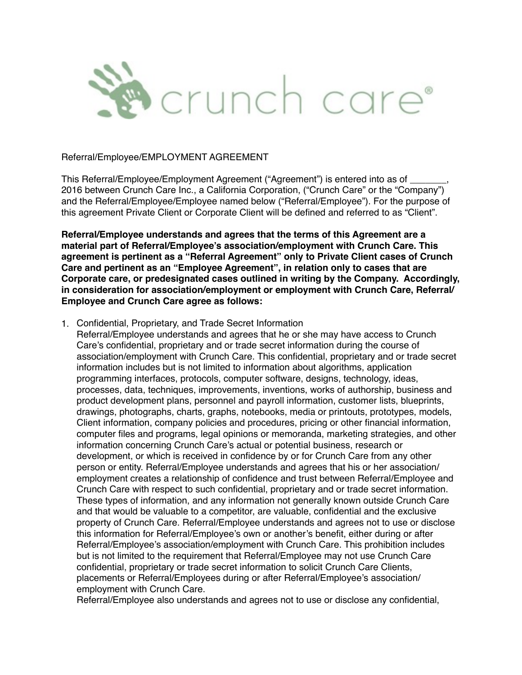

#### Referral/Employee/EMPLOYMENT AGREEMENT

This Referral/Employee/Employment Agreement ("Agreement") is entered into as of \_\_\_\_\_\_\_, 2016 between Crunch Care Inc., a California Corporation, ("Crunch Care" or the "Company") and the Referral/Employee/Employee named below ("Referral/Employee"). For the purpose of this agreement Private Client or Corporate Client will be defined and referred to as "Client".

**Referral/Employee understands and agrees that the terms of this Agreement are a material part of Referral/Employee's association/employment with Crunch Care. This agreement is pertinent as a "Referral Agreement" only to Private Client cases of Crunch Care and pertinent as an "Employee Agreement", in relation only to cases that are Corporate care, or predesignated cases outlined in writing by the Company. Accordingly, in consideration for association/employment or employment with Crunch Care, Referral/ Employee and Crunch Care agree as follows:** 

### 1. Confidential, Proprietary, and Trade Secret Information

Referral/Employee understands and agrees that he or she may have access to Crunch Care's confidential, proprietary and or trade secret information during the course of association/employment with Crunch Care. This confidential, proprietary and or trade secret information includes but is not limited to information about algorithms, application programming interfaces, protocols, computer software, designs, technology, ideas, processes, data, techniques, improvements, inventions, works of authorship, business and product development plans, personnel and payroll information, customer lists, blueprints, drawings, photographs, charts, graphs, notebooks, media or printouts, prototypes, models, Client information, company policies and procedures, pricing or other financial information, computer files and programs, legal opinions or memoranda, marketing strategies, and other information concerning Crunch Care's actual or potential business, research or development, or which is received in confidence by or for Crunch Care from any other person or entity. Referral/Employee understands and agrees that his or her association/ employment creates a relationship of confidence and trust between Referral/Employee and Crunch Care with respect to such confidential, proprietary and or trade secret information. These types of information, and any information not generally known outside Crunch Care and that would be valuable to a competitor, are valuable, confidential and the exclusive property of Crunch Care. Referral/Employee understands and agrees not to use or disclose this information for Referral/Employee's own or another's benefit, either during or after Referral/Employee's association/employment with Crunch Care. This prohibition includes but is not limited to the requirement that Referral/Employee may not use Crunch Care confidential, proprietary or trade secret information to solicit Crunch Care Clients, placements or Referral/Employees during or after Referral/Employee's association/ employment with Crunch Care.

Referral/Employee also understands and agrees not to use or disclose any confidential,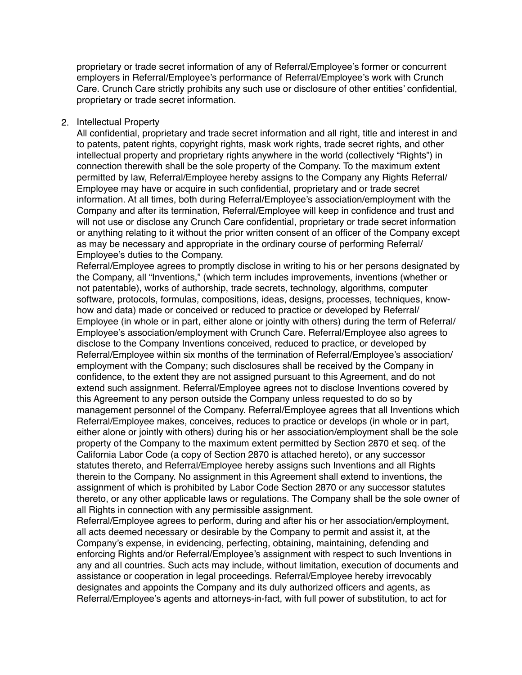proprietary or trade secret information of any of Referral/Employee's former or concurrent employers in Referral/Employee's performance of Referral/Employee's work with Crunch Care. Crunch Care strictly prohibits any such use or disclosure of other entities' confidential, proprietary or trade secret information.

#### 2. Intellectual Property

All confidential, proprietary and trade secret information and all right, title and interest in and to patents, patent rights, copyright rights, mask work rights, trade secret rights, and other intellectual property and proprietary rights anywhere in the world (collectively "Rights") in connection therewith shall be the sole property of the Company. To the maximum extent permitted by law, Referral/Employee hereby assigns to the Company any Rights Referral/ Employee may have or acquire in such confidential, proprietary and or trade secret information. At all times, both during Referral/Employee's association/employment with the Company and after its termination, Referral/Employee will keep in confidence and trust and will not use or disclose any Crunch Care confidential, proprietary or trade secret information or anything relating to it without the prior written consent of an officer of the Company except as may be necessary and appropriate in the ordinary course of performing Referral/ Employee's duties to the Company.

Referral/Employee agrees to promptly disclose in writing to his or her persons designated by the Company, all "Inventions," (which term includes improvements, inventions (whether or not patentable), works of authorship, trade secrets, technology, algorithms, computer software, protocols, formulas, compositions, ideas, designs, processes, techniques, knowhow and data) made or conceived or reduced to practice or developed by Referral/ Employee (in whole or in part, either alone or jointly with others) during the term of Referral/ Employee's association/employment with Crunch Care. Referral/Employee also agrees to disclose to the Company Inventions conceived, reduced to practice, or developed by Referral/Employee within six months of the termination of Referral/Employee's association/ employment with the Company; such disclosures shall be received by the Company in confidence, to the extent they are not assigned pursuant to this Agreement, and do not extend such assignment. Referral/Employee agrees not to disclose Inventions covered by this Agreement to any person outside the Company unless requested to do so by management personnel of the Company. Referral/Employee agrees that all Inventions which Referral/Employee makes, conceives, reduces to practice or develops (in whole or in part, either alone or jointly with others) during his or her association/employment shall be the sole property of the Company to the maximum extent permitted by Section 2870 et seq. of the California Labor Code (a copy of Section 2870 is attached hereto), or any successor statutes thereto, and Referral/Employee hereby assigns such Inventions and all Rights therein to the Company. No assignment in this Agreement shall extend to inventions, the assignment of which is prohibited by Labor Code Section 2870 or any successor statutes thereto, or any other applicable laws or regulations. The Company shall be the sole owner of all Rights in connection with any permissible assignment.

Referral/Employee agrees to perform, during and after his or her association/employment, all acts deemed necessary or desirable by the Company to permit and assist it, at the Company's expense, in evidencing, perfecting, obtaining, maintaining, defending and enforcing Rights and/or Referral/Employee's assignment with respect to such Inventions in any and all countries. Such acts may include, without limitation, execution of documents and assistance or cooperation in legal proceedings. Referral/Employee hereby irrevocably designates and appoints the Company and its duly authorized officers and agents, as Referral/Employee's agents and attorneys-in-fact, with full power of substitution, to act for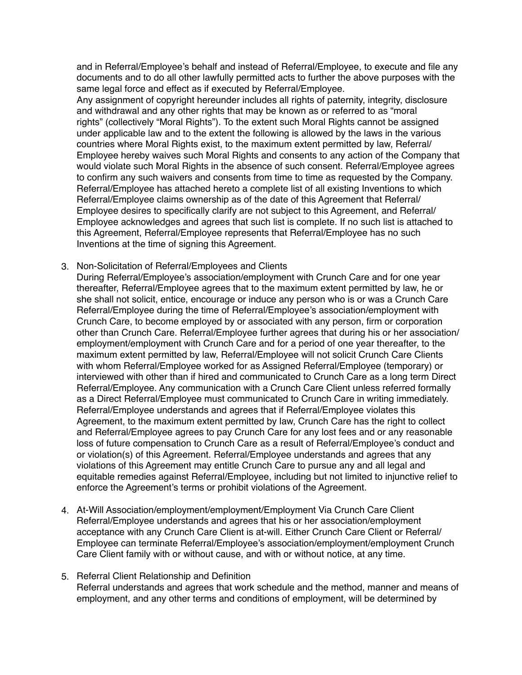and in Referral/Employee's behalf and instead of Referral/Employee, to execute and file any documents and to do all other lawfully permitted acts to further the above purposes with the same legal force and effect as if executed by Referral/Employee.

Any assignment of copyright hereunder includes all rights of paternity, integrity, disclosure and withdrawal and any other rights that may be known as or referred to as "moral rights" (collectively "Moral Rights"). To the extent such Moral Rights cannot be assigned under applicable law and to the extent the following is allowed by the laws in the various countries where Moral Rights exist, to the maximum extent permitted by law, Referral/ Employee hereby waives such Moral Rights and consents to any action of the Company that would violate such Moral Rights in the absence of such consent. Referral/Employee agrees to confirm any such waivers and consents from time to time as requested by the Company. Referral/Employee has attached hereto a complete list of all existing Inventions to which Referral/Employee claims ownership as of the date of this Agreement that Referral/ Employee desires to specifically clarify are not subject to this Agreement, and Referral/ Employee acknowledges and agrees that such list is complete. If no such list is attached to this Agreement, Referral/Employee represents that Referral/Employee has no such Inventions at the time of signing this Agreement.

- 3. Non-Solicitation of Referral/Employees and Clients
	- During Referral/Employee's association/employment with Crunch Care and for one year thereafter, Referral/Employee agrees that to the maximum extent permitted by law, he or she shall not solicit, entice, encourage or induce any person who is or was a Crunch Care Referral/Employee during the time of Referral/Employee's association/employment with Crunch Care, to become employed by or associated with any person, firm or corporation other than Crunch Care. Referral/Employee further agrees that during his or her association/ employment/employment with Crunch Care and for a period of one year thereafter, to the maximum extent permitted by law, Referral/Employee will not solicit Crunch Care Clients with whom Referral/Employee worked for as Assigned Referral/Employee (temporary) or interviewed with other than if hired and communicated to Crunch Care as a long term Direct Referral/Employee. Any communication with a Crunch Care Client unless referred formally as a Direct Referral/Employee must communicated to Crunch Care in writing immediately. Referral/Employee understands and agrees that if Referral/Employee violates this Agreement, to the maximum extent permitted by law, Crunch Care has the right to collect and Referral/Employee agrees to pay Crunch Care for any lost fees and or any reasonable loss of future compensation to Crunch Care as a result of Referral/Employee's conduct and or violation(s) of this Agreement. Referral/Employee understands and agrees that any violations of this Agreement may entitle Crunch Care to pursue any and all legal and equitable remedies against Referral/Employee, including but not limited to injunctive relief to enforce the Agreement's terms or prohibit violations of the Agreement.
- 4. At-Will Association/employment/employment/Employment Via Crunch Care Client Referral/Employee understands and agrees that his or her association/employment acceptance with any Crunch Care Client is at-will. Either Crunch Care Client or Referral/ Employee can terminate Referral/Employee's association/employment/employment Crunch Care Client family with or without cause, and with or without notice, at any time.
- 5. Referral Client Relationship and Definition Referral understands and agrees that work schedule and the method, manner and means of employment, and any other terms and conditions of employment, will be determined by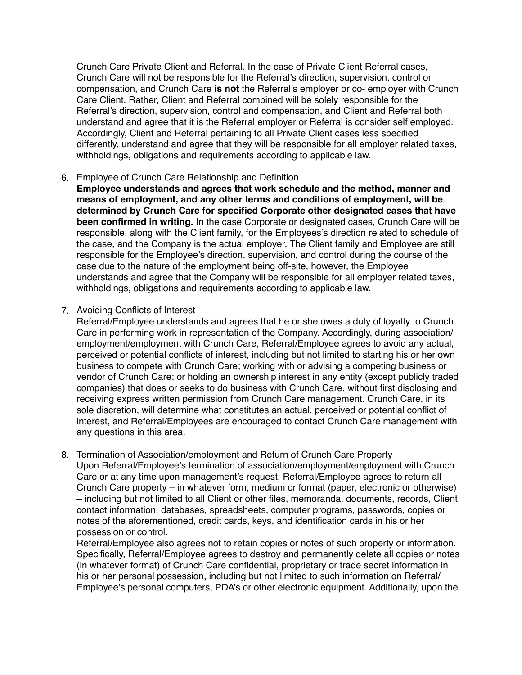Crunch Care Private Client and Referral. In the case of Private Client Referral cases, Crunch Care will not be responsible for the Referral's direction, supervision, control or compensation, and Crunch Care **is not** the Referral's employer or co- employer with Crunch Care Client. Rather, Client and Referral combined will be solely responsible for the Referral's direction, supervision, control and compensation, and Client and Referral both understand and agree that it is the Referral employer or Referral is consider self employed. Accordingly, Client and Referral pertaining to all Private Client cases less specified differently, understand and agree that they will be responsible for all employer related taxes, withholdings, obligations and requirements according to applicable law.

### 6. Employee of Crunch Care Relationship and Definition

**Employee understands and agrees that work schedule and the method, manner and means of employment, and any other terms and conditions of employment, will be determined by Crunch Care for specified Corporate other designated cases that have been confirmed in writing.** In the case Corporate or designated cases, Crunch Care will be responsible, along with the Client family, for the Employees's direction related to schedule of the case, and the Company is the actual employer. The Client family and Employee are still responsible for the Employee's direction, supervision, and control during the course of the case due to the nature of the employment being off-site, however, the Employee understands and agree that the Company will be responsible for all employer related taxes, withholdings, obligations and requirements according to applicable law.

### 7. Avoiding Conflicts of Interest

Referral/Employee understands and agrees that he or she owes a duty of loyalty to Crunch Care in performing work in representation of the Company. Accordingly, during association/ employment/employment with Crunch Care, Referral/Employee agrees to avoid any actual, perceived or potential conflicts of interest, including but not limited to starting his or her own business to compete with Crunch Care; working with or advising a competing business or vendor of Crunch Care; or holding an ownership interest in any entity (except publicly traded companies) that does or seeks to do business with Crunch Care, without first disclosing and receiving express written permission from Crunch Care management. Crunch Care, in its sole discretion, will determine what constitutes an actual, perceived or potential conflict of interest, and Referral/Employees are encouraged to contact Crunch Care management with any questions in this area.

8. Termination of Association/employment and Return of Crunch Care Property Upon Referral/Employee's termination of association/employment/employment with Crunch Care or at any time upon management's request, Referral/Employee agrees to return all Crunch Care property – in whatever form, medium or format (paper, electronic or otherwise) – including but not limited to all Client or other files, memoranda, documents, records, Client contact information, databases, spreadsheets, computer programs, passwords, copies or notes of the aforementioned, credit cards, keys, and identification cards in his or her possession or control.

Referral/Employee also agrees not to retain copies or notes of such property or information. Specifically, Referral/Employee agrees to destroy and permanently delete all copies or notes (in whatever format) of Crunch Care confidential, proprietary or trade secret information in his or her personal possession, including but not limited to such information on Referral/ Employee's personal computers, PDA's or other electronic equipment. Additionally, upon the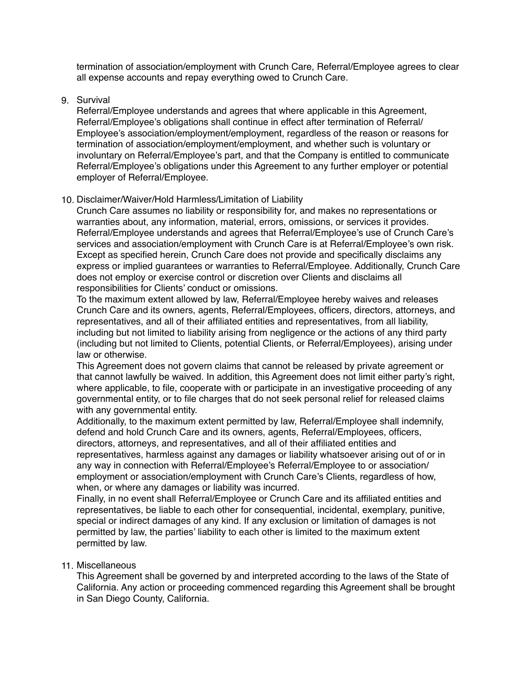termination of association/employment with Crunch Care, Referral/Employee agrees to clear all expense accounts and repay everything owed to Crunch Care.

# 9. Survival

Referral/Employee understands and agrees that where applicable in this Agreement, Referral/Employee's obligations shall continue in effect after termination of Referral/ Employee's association/employment/employment, regardless of the reason or reasons for termination of association/employment/employment, and whether such is voluntary or involuntary on Referral/Employee's part, and that the Company is entitled to communicate Referral/Employee's obligations under this Agreement to any further employer or potential employer of Referral/Employee.

# 10. Disclaimer/Waiver/Hold Harmless/Limitation of Liability

Crunch Care assumes no liability or responsibility for, and makes no representations or warranties about, any information, material, errors, omissions, or services it provides. Referral/Employee understands and agrees that Referral/Employee's use of Crunch Care's services and association/employment with Crunch Care is at Referral/Employee's own risk. Except as specified herein, Crunch Care does not provide and specifically disclaims any express or implied guarantees or warranties to Referral/Employee. Additionally, Crunch Care does not employ or exercise control or discretion over Clients and disclaims all responsibilities for Clients' conduct or omissions.

To the maximum extent allowed by law, Referral/Employee hereby waives and releases Crunch Care and its owners, agents, Referral/Employees, officers, directors, attorneys, and representatives, and all of their affiliated entities and representatives, from all liability, including but not limited to liability arising from negligence or the actions of any third party (including but not limited to Clients, potential Clients, or Referral/Employees), arising under law or otherwise.

This Agreement does not govern claims that cannot be released by private agreement or that cannot lawfully be waived. In addition, this Agreement does not limit either party's right, where applicable, to file, cooperate with or participate in an investigative proceeding of any governmental entity, or to file charges that do not seek personal relief for released claims with any governmental entity.

Additionally, to the maximum extent permitted by law, Referral/Employee shall indemnify, defend and hold Crunch Care and its owners, agents, Referral/Employees, officers, directors, attorneys, and representatives, and all of their affiliated entities and representatives, harmless against any damages or liability whatsoever arising out of or in any way in connection with Referral/Employee's Referral/Employee to or association/ employment or association/employment with Crunch Care's Clients, regardless of how, when, or where any damages or liability was incurred.

Finally, in no event shall Referral/Employee or Crunch Care and its affiliated entities and representatives, be liable to each other for consequential, incidental, exemplary, punitive, special or indirect damages of any kind. If any exclusion or limitation of damages is not permitted by law, the parties' liability to each other is limited to the maximum extent permitted by law.

# 11. Miscellaneous

This Agreement shall be governed by and interpreted according to the laws of the State of California. Any action or proceeding commenced regarding this Agreement shall be brought in San Diego County, California.